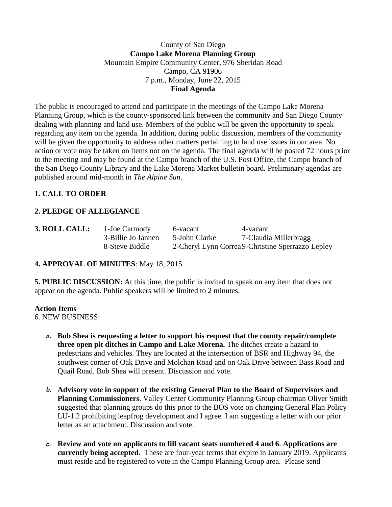### County of San Diego **Campo Lake Morena Planning Group** Mountain Empire Community Center, 976 Sheridan Road Campo, CA 91906 7 p.m., Monday, June 22, 2015 **Final Agenda**

The public is encouraged to attend and participate in the meetings of the Campo Lake Morena Planning Group, which is the county-sponsored link between the community and San Diego County dealing with planning and land use. Members of the public will be given the opportunity to speak regarding any item on the agenda. In addition, during public discussion, members of the community will be given the opportunity to address other matters pertaining to land use issues in our area. No action or vote may be taken on items not on the agenda. The final agenda will be posted 72 hours prior to the meeting and may be found at the Campo branch of the U.S. Post Office, the Campo branch of the San Diego County Library and the Lake Morena Market bulletin board. Preliminary agendas are published around mid-month in *The Alpine Sun*.

# **1. CALL TO ORDER**

# **2. PLEDGE OF ALLEGIANCE**

|  | 3. ROLL CALL |  |  |
|--|--------------|--|--|
|  |              |  |  |
|  |              |  |  |

**3. 1**-Joe Carmody 6-vacant 4-vacant 3-Billie Jo Jannen 5-John Clarke 7-Claudia Millerbragg 8-Steve Biddle 2-Cheryl Lynn Correa9-Christine Sperrazzo Lepley

## **4. APPROVAL OF MINUTES**: May 18, 2015

**5. PUBLIC DISCUSSION:** At this time, the public is invited to speak on any item that does not appear on the agenda. Public speakers will be limited to 2 minutes.

#### **Action Items**

6. NEW BUSINESS:

- **a. Bob Shea is requesting a letter to support his request that the county repair/complete three open pit ditches in Campo and Lake Morena.** The ditches create a hazard to pedestrians and vehicles. They are located at the intersection of BSR and Highway 94, the southwest corner of Oak Drive and Molchan Road and on Oak Drive between Bass Road and Quail Road. Bob Shea will present. Discussion and vote.
- **b. Advisory vote in support of the existing General Plan to the Board of Supervisors and Planning Commissioners**. Valley Center Community Planning Group chairman Oliver Smith suggested that planning groups do this prior to the BOS vote on changing General Plan Policy LU-1.2 prohibiting leapfrog development and I agree. I am suggesting a letter with our prior letter as an attachment. Discussion and vote.
- **c. Review and vote on applicants to fill vacant seats numbered 4 and 6**. **Applications are currently being accepted.** These are four-year terms that expire in January 2019. Applicants must reside and be registered to vote in the Campo Planning Group area. Please send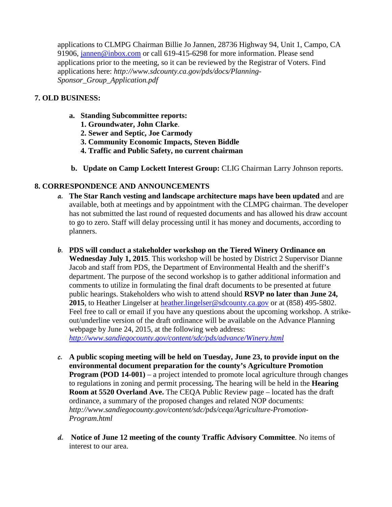applications to CLMPG Chairman Billie Jo Jannen, 28736 Highway 94, Unit 1, Campo, CA 91906, [jannen@inbox.com](mailto:campojoe@yahoo.com) or call 619-415-6298 for more information. Please send applications prior to the meeting, so it can be reviewed by the Registrar of Voters. Find applications here: *http://www.sdcounty.ca.gov/pds/docs/Planning-Sponsor\_Group\_Application.pdf*

### **7. OLD BUSINESS:**

- **a. Standing Subcommittee reports:**
	- **1. Groundwater, John Clarke**.
	- **2. Sewer and Septic, Joe Carmody**
	- **3. Community Economic Impacts, Steven Biddle**
	- **4. Traffic and Public Safety, no current chairman**
- **b. Update on Camp Lockett Interest Group:** CLIG Chairman Larry Johnson reports.

## **8. CORRESPONDENCE AND ANNOUNCEMENTS**

- **a. The Star Ranch vesting and landscape architecture maps have been updated** and are available, both at meetings and by appointment with the CLMPG chairman. The developer has not submitted the last round of requested documents and has allowed his draw account to go to zero. Staff will delay processing until it has money and documents, according to planners.
- **b. PDS will conduct a stakeholder workshop on the Tiered Winery Ordinance on Wednesday July 1, 2015**. This workshop will be hosted by District 2 Supervisor Dianne Jacob and staff from PDS, the Department of Environmental Health and the sheriff's department. The purpose of the second workshop is to gather additional information and comments to utilize in formulating the final draft documents to be presented at future public hearings. Stakeholders who wish to attend should **RSVP no later than June 24, 2015**, to Heather Lingelser at [heather.lingelser@sdcounty.ca.gov](mailto:heather.lingelser@sdcounty.ca.gov) or at (858) 495-5802. Feel free to call or email if you have any questions about the upcoming workshop. A strikeout/underline version of the draft ordinance will be available on the Advance Planning webpage by June 24, 2015, at the following web address: *<http://www.sandiegocounty.gov/content/sdc/pds/advance/Winery.html>*
- **c. A public scoping meeting will be held on Tuesday, June 23, to provide input on the environmental document preparation for the county's Agriculture Promotion Program (POD 14-001)** – a project intended to promote local agriculture through changes to regulations in zoning and permit processing**.** The hearing will be held in the **Hearing Room at 5520 Overland Ave.** The CEQA Public Review page – located has the draft ordinance, a summary of the proposed changes and related NOP documents: *http://www.sandiegocounty.gov/content/sdc/pds/ceqa/Agriculture-Promotion-Program.html*
- **d. Notice of June 12 meeting of the county Traffic Advisory Committee**. No items of interest to our area.